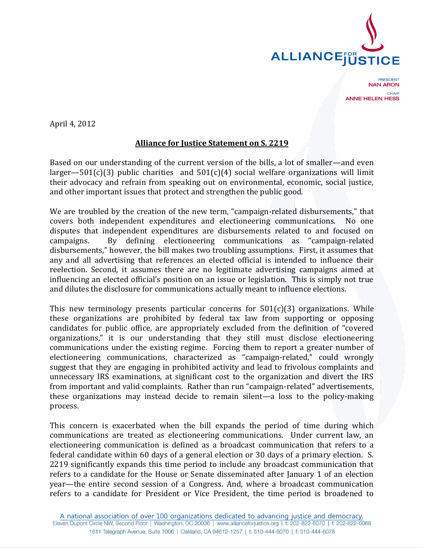

PRESIDENT **NAN ARON** CHAIR **ANNE HELEN HESS** 

April 4, 2012

## **Alliance for Justice Statement on S. 2219**

Based on our understanding of the current version of the bills, a lot of smaller—and even larger—501(c)(3) public charities and  $501(c)(4)$  social welfare organizations will limit their advocacy and refrain from speaking out on environmental, economic, social justice, and other important issues that protect and strengthen the public good.

We are troubled by the creation of the new term, "campaign-related disbursements," that covers both independent expenditures and electioneering communications. No one disputes that independent expenditures are disbursements related to and focused on campaigns. By defining electioneering communications as "campaign-related disbursements," however, the bill makes two troubling assumptions. First, it assumes that any and all advertising that references an elected official is intended to influence their reelection. Second, it assumes there are no legitimate advertising campaigns aimed at influencing an elected official's position on an issue or legislation. This is simply not true and dilutes the disclosure for communications actually meant to influence elections.

This new terminology presents particular concerns for  $501(c)(3)$  organizations. While these organizations are prohibited by federal tax law from supporting or opposing candidates for public office, are appropriately excluded from the definition of "covered organizations," it is our understanding that they still must disclose electioneering communications under the existing regime. Forcing them to report a greater number of electioneering communications, characterized as "campaign-related," could wrongly suggest that they are engaging in prohibited activity and lead to frivolous complaints and unnecessary IRS examinations, at significant cost to the organization and divert the IRS from important and valid complaints. Rather than run "campaign-related" advertisements, these organizations may instead decide to remain silent—a loss to the policy-making process.

This concern is exacerbated when the bill expands the period of time during which communications are treated as electioneering communications. Under current law, an electioneering communication is defined as a broadcast communication that refers to a federal candidate within 60 days of a general election or 30 days of a primary election. S. 2219 significantly expands this time period to include any broadcast communication that refers to a candidate for the House or Senate disseminated after January 1 of an election year—the entire second session of a Congress. And, where a broadcast communication refers to a candidate for President or Vice President, the time period is broadened to